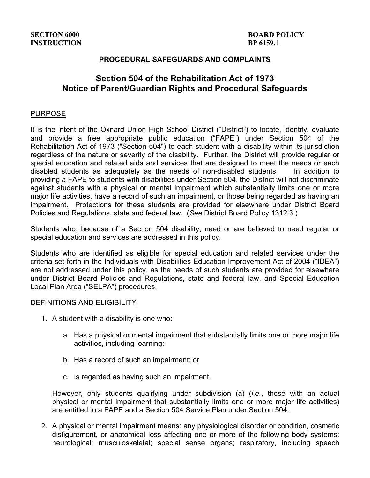## **PROCEDURAL SAFEGUARDS AND COMPLAINTS**

# **Section 504 of the Rehabilitation Act of 1973 Notice of Parent/Guardian Rights and Procedural Safeguards**

### PURPOSE

It is the intent of the Oxnard Union High School District ("District") to locate, identify, evaluate and provide a free appropriate public education ("FAPE") under Section 504 of the Rehabilitation Act of 1973 ("Section 504") to each student with a disability within its jurisdiction regardless of the nature or severity of the disability. Further, the District will provide regular or special education and related aids and services that are designed to meet the needs or each disabled students as adequately as the needs of non-disabled students. In addition to providing a FAPE to students with disabilities under Section 504, the District will not discriminate against students with a physical or mental impairment which substantially limits one or more major life activities, have a record of such an impairment, or those being regarded as having an impairment. Protections for these students are provided for elsewhere under District Board Policies and Regulations, state and federal law. (*See* District Board Policy 1312.3.)

Students who, because of a Section 504 disability, need or are believed to need regular or special education and services are addressed in this policy.

Students who are identified as eligible for special education and related services under the criteria set forth in the Individuals with Disabilities Education Improvement Act of 2004 ("IDEA") are not addressed under this policy, as the needs of such students are provided for elsewhere under District Board Policies and Regulations, state and federal law, and Special Education Local Plan Area ("SELPA") procedures.

#### DEFINITIONS AND ELIGIBILITY

- 1. A student with a disability is one who:
	- a. Has a physical or mental impairment that substantially limits one or more major life activities, including learning;
	- b. Has a record of such an impairment; or
	- c. Is regarded as having such an impairment.

However, only students qualifying under subdivision (a) (*i.e.*, those with an actual physical or mental impairment that substantially limits one or more major life activities) are entitled to a FAPE and a Section 504 Service Plan under Section 504.

2. A physical or mental impairment means: any physiological disorder or condition, cosmetic disfigurement, or anatomical loss affecting one or more of the following body systems: neurological; musculoskeletal; special sense organs; respiratory, including speech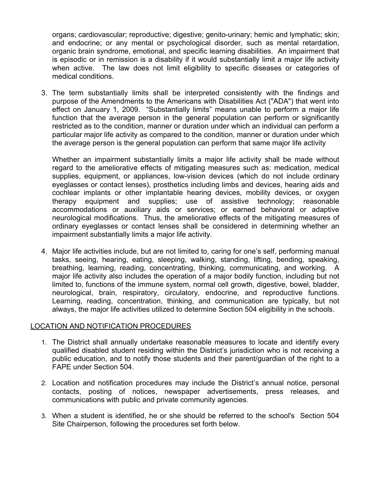organs; cardiovascular; reproductive; digestive; genito-urinary; hemic and lymphatic; skin; and endocrine; or any mental or psychological disorder, such as mental retardation, organic brain syndrome, emotional, and specific learning disabilities. An impairment that is episodic or in remission is a disability if it would substantially limit a major life activity when active. The law does not limit eligibility to specific diseases or categories of medical conditions.

3. The term substantially limits shall be interpreted consistently with the findings and purpose of the Amendments to the Americans with Disabilities Act ("ADA") that went into effect on January 1, 2009. "Substantially limits" means unable to perform a major life function that the average person in the general population can perform or significantly restricted as to the condition, manner or duration under which an individual can perform a particular major life activity as compared to the condition, manner or duration under which the average person is the general population can perform that same major life activity

Whether an impairment substantially limits a major life activity shall be made without regard to the ameliorative effects of mitigating measures such as: medication, medical supplies, equipment, or appliances, low-vision devices (which do not include ordinary eyeglasses or contact lenses), prosthetics including limbs and devices, hearing aids and cochlear implants or other implantable hearing devices, mobility devices, or oxygen therapy equipment and supplies; use of assistive technology; reasonable accommodations or auxiliary aids or services; or earned behavioral or adaptive neurological modifications. Thus, the ameliorative effects of the mitigating measures of ordinary eyeglasses or contact lenses shall be considered in determining whether an impairment substantially limits a major life activity.

4. Major life activities include, but are not limited to, caring for one's self, performing manual tasks, seeing, hearing, eating, sleeping, walking, standing, lifting, bending, speaking, breathing, learning, reading, concentrating, thinking, communicating, and working. A major life activity also includes the operation of a major bodily function, including but not limited to, functions of the immune system, normal cell growth, digestive, bowel, bladder, neurological, brain, respiratory, circulatory, endocrine, and reproductive functions. Learning, reading, concentration, thinking, and communication are typically, but not always, the major life activities utilized to determine Section 504 eligibility in the schools.

## LOCATION AND NOTIFICATION PROCEDURES

- 1. The District shall annually undertake reasonable measures to locate and identify every qualified disabled student residing within the District's jurisdiction who is not receiving a public education, and to notify those students and their parent/guardian of the right to a FAPE under Section 504.
- 2. Location and notification procedures may include the District's annual notice, personal contacts, posting of notices, newspaper advertisements, press releases, and communications with public and private community agencies.
- 3. When a student is identified, he or she should be referred to the school's Section 504 Site Chairperson, following the procedures set forth below.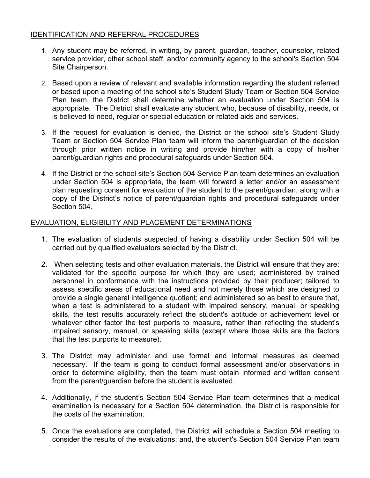# IDENTIFICATION AND REFERRAL PROCEDURES

- 1. Any student may be referred, in writing, by parent, guardian, teacher, counselor, related service provider, other school staff, and/or community agency to the school's Section 504 Site Chairperson.
- 2. Based upon a review of relevant and available information regarding the student referred or based upon a meeting of the school site's Student Study Team or Section 504 Service Plan team, the District shall determine whether an evaluation under Section 504 is appropriate. The District shall evaluate any student who, because of disability, needs, or is believed to need, regular or special education or related aids and services.
- 3. If the request for evaluation is denied, the District or the school site's Student Study Team or Section 504 Service Plan team will inform the parent/guardian of the decision through prior written notice in writing and provide him/her with a copy of his/her parent/guardian rights and procedural safeguards under Section 504.
- 4. If the District or the school site's Section 504 Service Plan team determines an evaluation under Section 504 is appropriate, the team will forward a letter and/or an assessment plan requesting consent for evaluation of the student to the parent/guardian, along with a copy of the District's notice of parent/guardian rights and procedural safeguards under Section 504.

# EVALUATION, ELIGIBILITY AND PLACEMENT DETERMINATIONS

- 1. The evaluation of students suspected of having a disability under Section 504 will be carried out by qualified evaluators selected by the District.
- 2. When selecting tests and other evaluation materials, the District will ensure that they are: validated for the specific purpose for which they are used; administered by trained personnel in conformance with the instructions provided by their producer; tailored to assess specific areas of educational need and not merely those which are designed to provide a single general intelligence quotient; and administered so as best to ensure that, when a test is administered to a student with impaired sensory, manual, or speaking skills, the test results accurately reflect the student's aptitude or achievement level or whatever other factor the test purports to measure, rather than reflecting the student's impaired sensory, manual, or speaking skills (except where those skills are the factors that the test purports to measure).
- 3. The District may administer and use formal and informal measures as deemed necessary. If the team is going to conduct formal assessment and/or observations in order to determine eligibility, then the team must obtain informed and written consent from the parent/guardian before the student is evaluated.
- 4. Additionally, if the student's Section 504 Service Plan team determines that a medical examination is necessary for a Section 504 determination, the District is responsible for the costs of the examination.
- 5. Once the evaluations are completed, the District will schedule a Section 504 meeting to consider the results of the evaluations; and, the student's Section 504 Service Plan team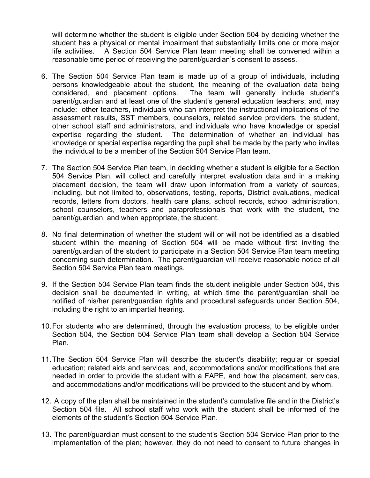will determine whether the student is eligible under Section 504 by deciding whether the student has a physical or mental impairment that substantially limits one or more major life activities. A Section 504 Service Plan team meeting shall be convened within a reasonable time period of receiving the parent/guardian's consent to assess.

- 6. The Section 504 Service Plan team is made up of a group of individuals, including persons knowledgeable about the student, the meaning of the evaluation data being considered, and placement options. The team will generally include student's parent/guardian and at least one of the student's general education teachers; and, may include: other teachers, individuals who can interpret the instructional implications of the assessment results, SST members, counselors, related service providers, the student, other school staff and administrators, and individuals who have knowledge or special expertise regarding the student. The determination of whether an individual has knowledge or special expertise regarding the pupil shall be made by the party who invites the individual to be a member of the Section 504 Service Plan team.
- 7. The Section 504 Service Plan team, in deciding whether a student is eligible for a Section 504 Service Plan, will collect and carefully interpret evaluation data and in a making placement decision, the team will draw upon information from a variety of sources, including, but not limited to, observations, testing, reports, District evaluations, medical records, letters from doctors, health care plans, school records, school administration, school counselors, teachers and paraprofessionals that work with the student, the parent/guardian, and when appropriate, the student.
- 8. No final determination of whether the student will or will not be identified as a disabled student within the meaning of Section 504 will be made without first inviting the parent/guardian of the student to participate in a Section 504 Service Plan team meeting concerning such determination. The parent/guardian will receive reasonable notice of all Section 504 Service Plan team meetings.
- 9. If the Section 504 Service Plan team finds the student ineligible under Section 504, this decision shall be documented in writing, at which time the parent/guardian shall be notified of his/her parent/guardian rights and procedural safeguards under Section 504, including the right to an impartial hearing.
- 10.For students who are determined, through the evaluation process, to be eligible under Section 504, the Section 504 Service Plan team shall develop a Section 504 Service Plan.
- 11.The Section 504 Service Plan will describe the student's disability; regular or special education; related aids and services; and, accommodations and/or modifications that are needed in order to provide the student with a FAPE, and how the placement, services, and accommodations and/or modifications will be provided to the student and by whom.
- 12. A copy of the plan shall be maintained in the student's cumulative file and in the District's Section 504 file. All school staff who work with the student shall be informed of the elements of the student's Section 504 Service Plan.
- 13. The parent/guardian must consent to the student's Section 504 Service Plan prior to the implementation of the plan; however, they do not need to consent to future changes in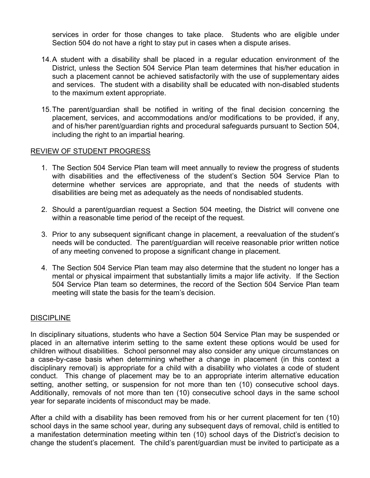services in order for those changes to take place. Students who are eligible under Section 504 do not have a right to stay put in cases when a dispute arises.

- 14.A student with a disability shall be placed in a regular education environment of the District, unless the Section 504 Service Plan team determines that his/her education in such a placement cannot be achieved satisfactorily with the use of supplementary aides and services. The student with a disability shall be educated with non-disabled students to the maximum extent appropriate.
- 15.The parent/guardian shall be notified in writing of the final decision concerning the placement, services, and accommodations and/or modifications to be provided, if any, and of his/her parent/guardian rights and procedural safeguards pursuant to Section 504, including the right to an impartial hearing.

### REVIEW OF STUDENT PROGRESS

- 1. The Section 504 Service Plan team will meet annually to review the progress of students with disabilities and the effectiveness of the student's Section 504 Service Plan to determine whether services are appropriate, and that the needs of students with disabilities are being met as adequately as the needs of nondisabled students.
- 2. Should a parent/guardian request a Section 504 meeting, the District will convene one within a reasonable time period of the receipt of the request.
- 3. Prior to any subsequent significant change in placement, a reevaluation of the student's needs will be conducted. The parent/guardian will receive reasonable prior written notice of any meeting convened to propose a significant change in placement.
- 4. The Section 504 Service Plan team may also determine that the student no longer has a mental or physical impairment that substantially limits a major life activity. If the Section 504 Service Plan team so determines, the record of the Section 504 Service Plan team meeting will state the basis for the team's decision.

#### **DISCIPLINE**

In disciplinary situations, students who have a Section 504 Service Plan may be suspended or placed in an alternative interim setting to the same extent these options would be used for children without disabilities. School personnel may also consider any unique circumstances on a case-by-case basis when determining whether a change in placement (in this context a disciplinary removal) is appropriate for a child with a disability who violates a code of student conduct. This change of placement may be to an appropriate interim alternative education setting, another setting, or suspension for not more than ten (10) consecutive school days. Additionally, removals of not more than ten (10) consecutive school days in the same school year for separate incidents of misconduct may be made.

After a child with a disability has been removed from his or her current placement for ten (10) school days in the same school year, during any subsequent days of removal, child is entitled to a manifestation determination meeting within ten (10) school days of the District's decision to change the student's placement. The child's parent/guardian must be invited to participate as a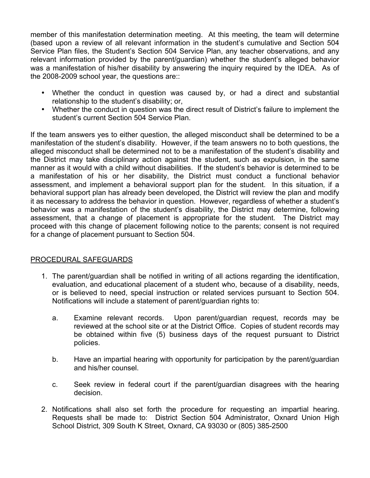member of this manifestation determination meeting. At this meeting, the team will determine (based upon a review of all relevant information in the student's cumulative and Section 504 Service Plan files, the Student's Section 504 Service Plan, any teacher observations, and any relevant information provided by the parent/guardian) whether the student's alleged behavior was a manifestation of his/her disability by answering the inquiry required by the IDEA. As of the 2008-2009 school year, the questions are::

- Whether the conduct in question was caused by, or had a direct and substantial relationship to the student's disability; or,
- Whether the conduct in question was the direct result of District's failure to implement the student's current Section 504 Service Plan.

If the team answers yes to either question, the alleged misconduct shall be determined to be a manifestation of the student's disability. However, if the team answers no to both questions, the alleged misconduct shall be determined not to be a manifestation of the student's disability and the District may take disciplinary action against the student, such as expulsion, in the same manner as it would with a child without disabilities. If the student's behavior is determined to be a manifestation of his or her disability, the District must conduct a functional behavior assessment, and implement a behavioral support plan for the student. In this situation, if a behavioral support plan has already been developed, the District will review the plan and modify it as necessary to address the behavior in question. However, regardless of whether a student's behavior was a manifestation of the student's disability, the District may determine, following assessment, that a change of placement is appropriate for the student. The District may proceed with this change of placement following notice to the parents; consent is not required for a change of placement pursuant to Section 504.

## PROCEDURAL SAFEGUARDS

- 1. The parent/guardian shall be notified in writing of all actions regarding the identification, evaluation, and educational placement of a student who, because of a disability, needs, or is believed to need, special instruction or related services pursuant to Section 504. Notifications will include a statement of parent/guardian rights to:
	- a. Examine relevant records. Upon parent/guardian request, records may be reviewed at the school site or at the District Office. Copies of student records may be obtained within five (5) business days of the request pursuant to District policies.
	- b. Have an impartial hearing with opportunity for participation by the parent/guardian and his/her counsel.
	- c. Seek review in federal court if the parent/guardian disagrees with the hearing decision.
- 2. Notifications shall also set forth the procedure for requesting an impartial hearing. Requests shall be made to: District Section 504 Administrator, Oxnard Union High School District, 309 South K Street, Oxnard, CA 93030 or (805) 385-2500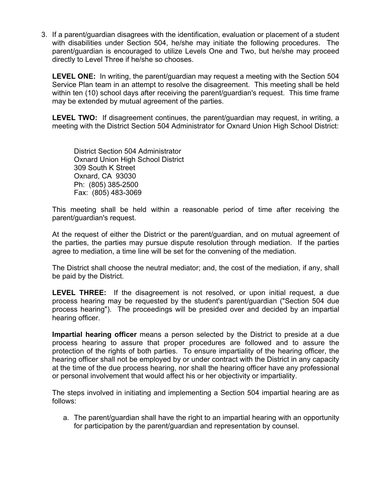3. If a parent/guardian disagrees with the identification, evaluation or placement of a student with disabilities under Section 504, he/she may initiate the following procedures. The parent/guardian is encouraged to utilize Levels One and Two, but he/she may proceed directly to Level Three if he/she so chooses.

**LEVEL ONE:** In writing, the parent/guardian may request a meeting with the Section 504 Service Plan team in an attempt to resolve the disagreement. This meeting shall be held within ten (10) school days after receiving the parent/guardian's request. This time frame may be extended by mutual agreement of the parties.

**LEVEL TWO:** If disagreement continues, the parent/guardian may request, in writing, a meeting with the District Section 504 Administrator for Oxnard Union High School District:

District Section 504 Administrator Oxnard Union High School District 309 South K Street Oxnard, CA 93030 Ph: (805) 385-2500 Fax: (805) 483-3069

This meeting shall be held within a reasonable period of time after receiving the parent/guardian's request.

At the request of either the District or the parent/guardian, and on mutual agreement of the parties, the parties may pursue dispute resolution through mediation. If the parties agree to mediation, a time line will be set for the convening of the mediation.

The District shall choose the neutral mediator; and, the cost of the mediation, if any, shall be paid by the District.

**LEVEL THREE:** If the disagreement is not resolved, or upon initial request, a due process hearing may be requested by the student's parent/guardian ("Section 504 due process hearing"). The proceedings will be presided over and decided by an impartial hearing officer.

**Impartial hearing officer** means a person selected by the District to preside at a due process hearing to assure that proper procedures are followed and to assure the protection of the rights of both parties. To ensure impartiality of the hearing officer, the hearing officer shall not be employed by or under contract with the District in any capacity at the time of the due process hearing, nor shall the hearing officer have any professional or personal involvement that would affect his or her objectivity or impartiality.

The steps involved in initiating and implementing a Section 504 impartial hearing are as follows:

a. The parent/guardian shall have the right to an impartial hearing with an opportunity for participation by the parent/guardian and representation by counsel.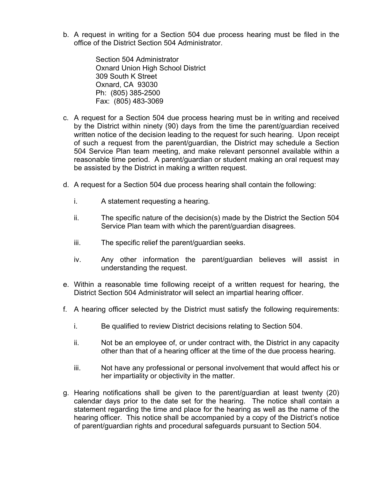b. A request in writing for a Section 504 due process hearing must be filed in the office of the District Section 504 Administrator.

> Section 504 Administrator Oxnard Union High School District 309 South K Street Oxnard, CA 93030 Ph: (805) 385-2500 Fax: (805) 483-3069

- c. A request for a Section 504 due process hearing must be in writing and received by the District within ninety (90) days from the time the parent/guardian received written notice of the decision leading to the request for such hearing. Upon receipt of such a request from the parent/guardian, the District may schedule a Section 504 Service Plan team meeting, and make relevant personnel available within a reasonable time period. A parent/guardian or student making an oral request may be assisted by the District in making a written request.
- d. A request for a Section 504 due process hearing shall contain the following:
	- i. A statement requesting a hearing.
	- ii. The specific nature of the decision(s) made by the District the Section 504 Service Plan team with which the parent/guardian disagrees.
	- iii. The specific relief the parent/guardian seeks.
	- iv. Any other information the parent/guardian believes will assist in understanding the request.
- e. Within a reasonable time following receipt of a written request for hearing, the District Section 504 Administrator will select an impartial hearing officer.
- f. A hearing officer selected by the District must satisfy the following requirements:
	- i. Be qualified to review District decisions relating to Section 504.
	- ii. Not be an employee of, or under contract with, the District in any capacity other than that of a hearing officer at the time of the due process hearing.
	- iii. Not have any professional or personal involvement that would affect his or her impartiality or objectivity in the matter.
- g. Hearing notifications shall be given to the parent/guardian at least twenty (20) calendar days prior to the date set for the hearing. The notice shall contain a statement regarding the time and place for the hearing as well as the name of the hearing officer. This notice shall be accompanied by a copy of the District's notice of parent/guardian rights and procedural safeguards pursuant to Section 504.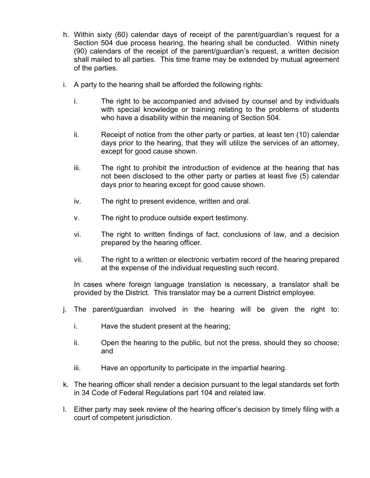- h. Within sixty (60) calendar days of receipt of the parent/guardian's request for a Section 504 due process hearing, the hearing shall be conducted. Within ninety (90) calendars of the receipt of the parent/guardian's request, a written decision shall mailed to all parties. This time frame may be extended by mutual agreement of the parties.
- i. A party to the hearing shall be afforded the following rights:
	- i. The right to be accompanied and advised by counsel and by individuals with special knowledge or training relating to the problems of students who have a disability within the meaning of Section 504.
	- ii. Receipt of notice from the other party or parties, at least ten (10) calendar days prior to the hearing, that they will utilize the services of an attorney, except for good cause shown.
	- iii. The right to prohibit the introduction of evidence at the hearing that has not been disclosed to the other party or parties at least five (5) calendar days prior to hearing except for good cause shown.
	- iv. The right to present evidence, written and oral.
	- v. The right to produce outside expert testimony.
	- vi. The right to written findings of fact, conclusions of law, and a decision prepared by the hearing officer.
	- vii. The right to a written or electronic verbatim record of the hearing prepared at the expense of the individual requesting such record.

In cases where foreign language translation is necessary, a translator shall be provided by the District. This translator may be a current District employee.

- j. The parent/guardian involved in the hearing will be given the right to:
	- i. Have the student present at the hearing;
	- ii. Open the hearing to the public, but not the press, should they so choose; and
	- iii. Have an opportunity to participate in the impartial hearing.
- k. The hearing officer shall render a decision pursuant to the legal standards set forth in 34 Code of Federal Regulations part 104 and related law.
- l. Either party may seek review of the hearing officer's decision by timely filing with a court of competent jurisdiction.